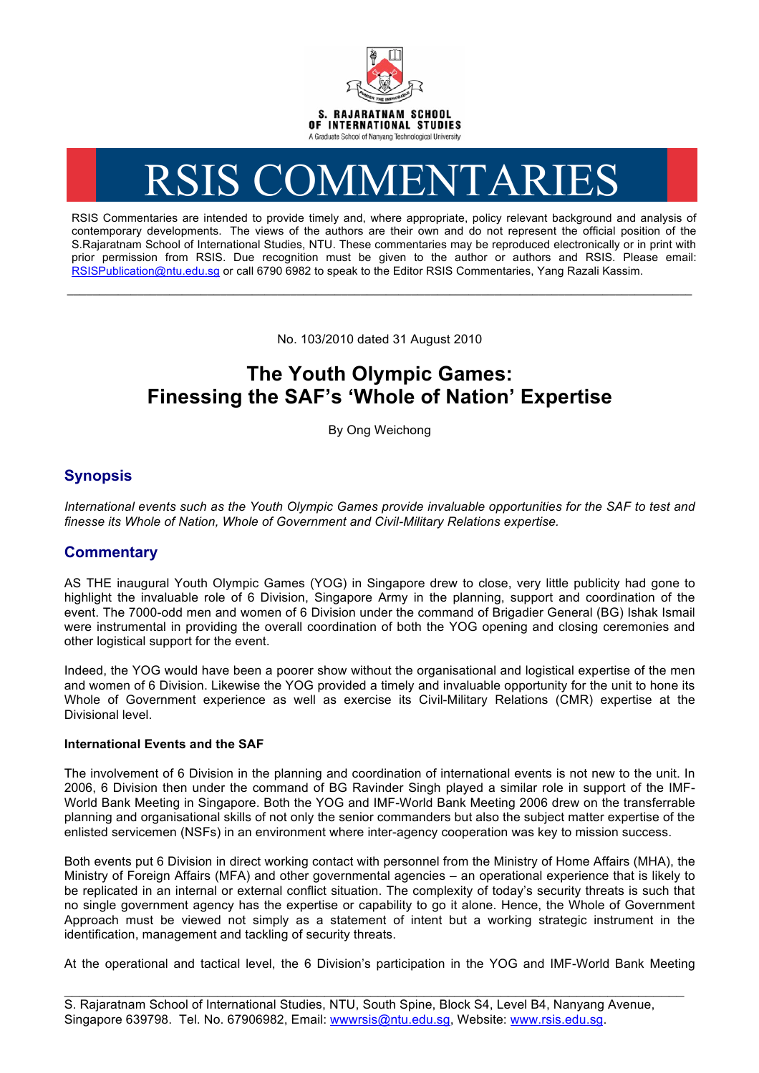

# RSIS COMMENTARIES

RSIS Commentaries are intended to provide timely and, where appropriate, policy relevant background and analysis of contemporary developments. The views of the authors are their own and do not represent the official position of the S.Rajaratnam School of International Studies, NTU. These commentaries may be reproduced electronically or in print with prior permission from RSIS. Due recognition must be given to the author or authors and RSIS. Please email: RSISPublication@ntu.edu.sg or call 6790 6982 to speak to the Editor RSIS Commentaries, Yang Razali Kassim.

No. 103/2010 dated 31 August 2010

**\_\_\_\_\_\_\_\_\_\_\_\_\_\_\_\_\_\_\_\_\_\_\_\_\_\_\_\_\_\_\_\_\_\_\_\_\_\_\_\_\_\_\_\_\_\_\_\_\_\_\_\_\_\_\_\_\_\_\_\_\_\_\_\_\_\_\_\_\_\_\_\_\_\_\_\_\_\_\_\_\_\_\_\_\_\_\_\_\_\_\_\_\_\_\_\_\_\_**

# **The Youth Olympic Games: Finessing the SAF's 'Whole of Nation' Expertise**

By Ong Weichong

## **Synopsis**

*International events such as the Youth Olympic Games provide invaluable opportunities for the SAF to test and finesse its Whole of Nation, Whole of Government and Civil-Military Relations expertise.*

### **Commentary**

AS THE inaugural Youth Olympic Games (YOG) in Singapore drew to close, very little publicity had gone to highlight the invaluable role of 6 Division, Singapore Army in the planning, support and coordination of the event. The 7000-odd men and women of 6 Division under the command of Brigadier General (BG) Ishak Ismail were instrumental in providing the overall coordination of both the YOG opening and closing ceremonies and other logistical support for the event.

Indeed, the YOG would have been a poorer show without the organisational and logistical expertise of the men and women of 6 Division. Likewise the YOG provided a timely and invaluable opportunity for the unit to hone its Whole of Government experience as well as exercise its Civil-Military Relations (CMR) expertise at the Divisional level.

#### **International Events and the SAF**

The involvement of 6 Division in the planning and coordination of international events is not new to the unit. In 2006, 6 Division then under the command of BG Ravinder Singh played a similar role in support of the IMF-World Bank Meeting in Singapore. Both the YOG and IMF-World Bank Meeting 2006 drew on the transferrable planning and organisational skills of not only the senior commanders but also the subject matter expertise of the enlisted servicemen (NSFs) in an environment where inter-agency cooperation was key to mission success.

Both events put 6 Division in direct working contact with personnel from the Ministry of Home Affairs (MHA), the Ministry of Foreign Affairs (MFA) and other governmental agencies – an operational experience that is likely to be replicated in an internal or external conflict situation. The complexity of today's security threats is such that no single government agency has the expertise or capability to go it alone. Hence, the Whole of Government Approach must be viewed not simply as a statement of intent but a working strategic instrument in the identification, management and tackling of security threats.

At the operational and tactical level, the 6 Division's participation in the YOG and IMF-World Bank Meeting